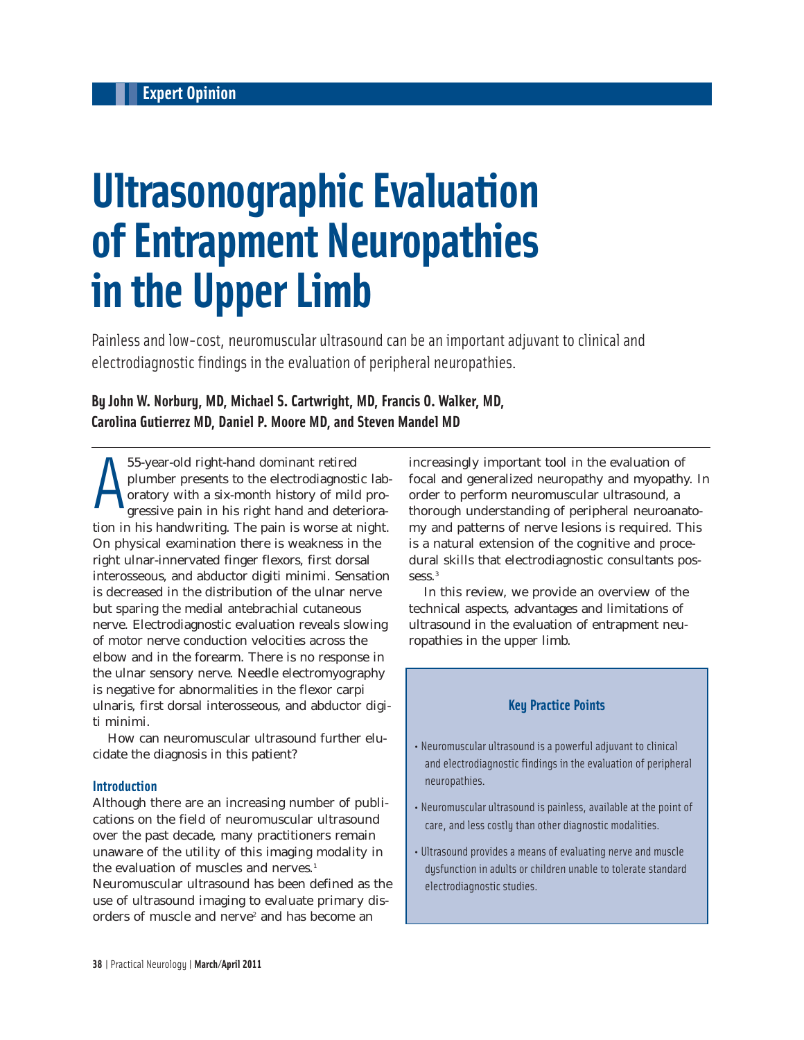# **Ultrasonographic Evaluation of Entrapment Neuropathies in the Upper Limb**

Painless and low-cost, neuromuscular ultrasound can be an important adjuvant to clinical and electrodiagnostic findings in the evaluation of peripheral neuropathies.

# **By John W. Norbury, MD, Michael S. Cartwright, MD, Francis O. Walker, MD, Carolina Gutierrez MD, Daniel P. Moore MD, and Steven Mandel MD**

A 55-year-old right-hand dominant retired plumber presents to the electrodiagnostic laboratory with a six-month history of mild progressive pain in his right hand and deterioration in his handwriting. The pain is worse at night. On physical examination there is weakness in the right ulnar-innervated finger flexors, first dorsal interosseous, and abductor digiti minimi. Sensation is decreased in the distribution of the ulnar nerve but sparing the medial antebrachial cutaneous nerve. Electrodiagnostic evaluation reveals slowing of motor nerve conduction velocities across the elbow and in the forearm. There is no response in the ulnar sensory nerve. Needle electromyography is negative for abnormalities in the flexor carpi ulnaris, first dorsal interosseous, and abductor digiti minimi.

How can neuromuscular ultrasound further elucidate the diagnosis in this patient?

#### **Introduction**

Although there are an increasing number of publications on the field of neuromuscular ultrasound over the past decade, many practitioners remain unaware of the utility of this imaging modality in the evaluation of muscles and nerves.<sup>1</sup> Neuromuscular ultrasound has been defined as the use of ultrasound imaging to evaluate primary disorders of muscle and nerve<sup>2</sup> and has become an

increasingly important tool in the evaluation of focal and generalized neuropathy and myopathy. In order to perform neuromuscular ultrasound, a thorough understanding of peripheral neuroanatomy and patterns of nerve lesions is required. This is a natural extension of the cognitive and procedural skills that electrodiagnostic consultants possess.<sup>3</sup>

In this review, we provide an overview of the technical aspects, advantages and limitations of ultrasound in the evaluation of entrapment neuropathies in the upper limb.

#### **Key Practice Points**

- Neuromuscular ultrasound is a powerful adjuvant to clinical and electrodiagnostic findings in the evaluation of peripheral neuropathies.
- Neuromuscular ultrasound is painless, available at the point of care, and less costly than other diagnostic modalities.
- Ultrasound provides a means of evaluating nerve and muscle dysfunction in adults or children unable to tolerate standard electrodiagnostic studies.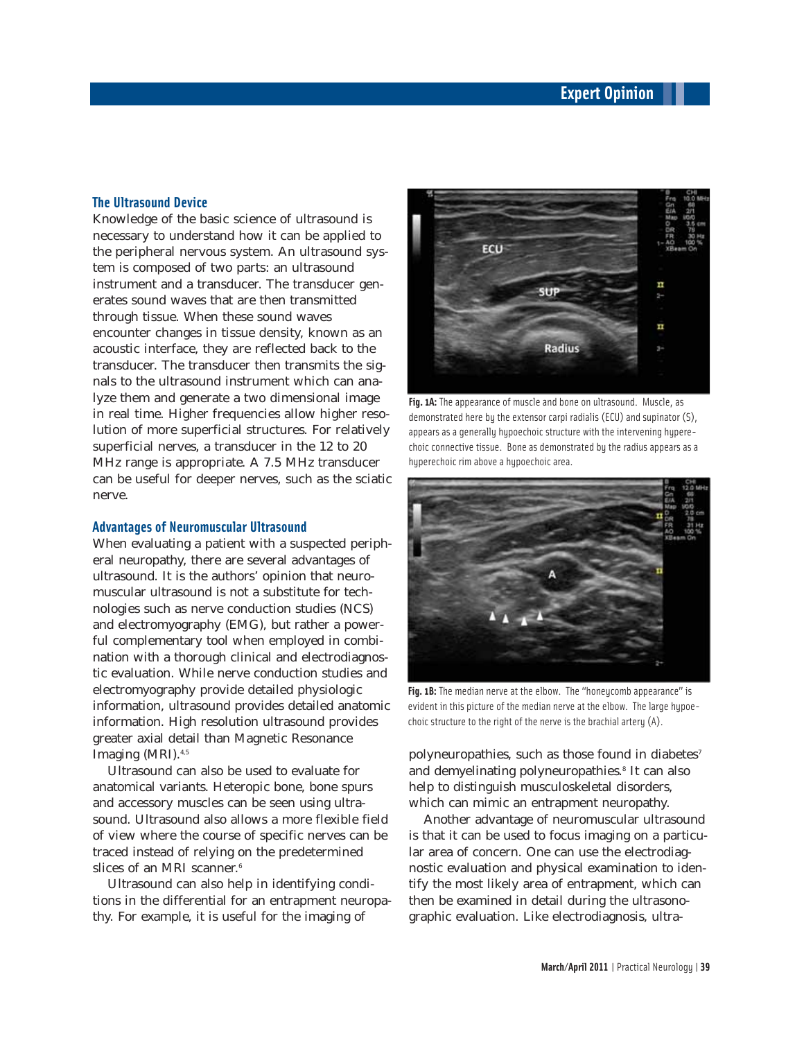#### **The Ultrasound Device**

Knowledge of the basic science of ultrasound is necessary to understand how it can be applied to the peripheral nervous system. An ultrasound system is composed of two parts: an ultrasound instrument and a transducer. The transducer generates sound waves that are then transmitted through tissue. When these sound waves encounter changes in tissue density, known as an acoustic interface, they are reflected back to the transducer. The transducer then transmits the signals to the ultrasound instrument which can analyze them and generate a two dimensional image in real time. Higher frequencies allow higher resolution of more superficial structures. For relatively superficial nerves, a transducer in the 12 to 20 MHz range is appropriate. A 7.5 MHz transducer can be useful for deeper nerves, such as the sciatic nerve.

#### **Advantages of Neuromuscular Ultrasound**

When evaluating a patient with a suspected peripheral neuropathy, there are several advantages of ultrasound. It is the authors' opinion that neuromuscular ultrasound is not a substitute for technologies such as nerve conduction studies (NCS) and electromyography (EMG), but rather a powerful complementary tool when employed in combination with a thorough clinical and electrodiagnostic evaluation. While nerve conduction studies and electromyography provide detailed physiologic information, ultrasound provides detailed anatomic information. High resolution ultrasound provides greater axial detail than Magnetic Resonance Imaging (MRI).4,5

Ultrasound can also be used to evaluate for anatomical variants. Heteropic bone, bone spurs and accessory muscles can be seen using ultrasound. Ultrasound also allows a more flexible field of view where the course of specific nerves can be traced instead of relying on the predetermined slices of an MRI scanner.<sup>6</sup>

Ultrasound can also help in identifying conditions in the differential for an entrapment neuropathy. For example, it is useful for the imaging of



Fig. 1A: The appearance of muscle and bone on ultrasound. Muscle, as demonstrated here by the extensor carpi radialis (ECU) and supinator (S), appears as a generally hypoechoic structure with the intervening hyperechoic connective tissue. Bone as demonstrated by the radius appears as a hyperechoic rim above a hypoechoic area.



Fig. 1B: The median nerve at the elbow. The "honeycomb appearance" is evident in this picture of the median nerve at the elbow. The large hypoechoic structure to the right of the nerve is the brachial artery (A).

polyneuropathies, such as those found in diabetes<sup>7</sup> and demyelinating polyneuropathies.<sup>8</sup> It can also help to distinguish musculoskeletal disorders, which can mimic an entrapment neuropathy.

Another advantage of neuromuscular ultrasound is that it can be used to focus imaging on a particular area of concern. One can use the electrodiagnostic evaluation and physical examination to identify the most likely area of entrapment, which can then be examined in detail during the ultrasonographic evaluation. Like electrodiagnosis, ultra-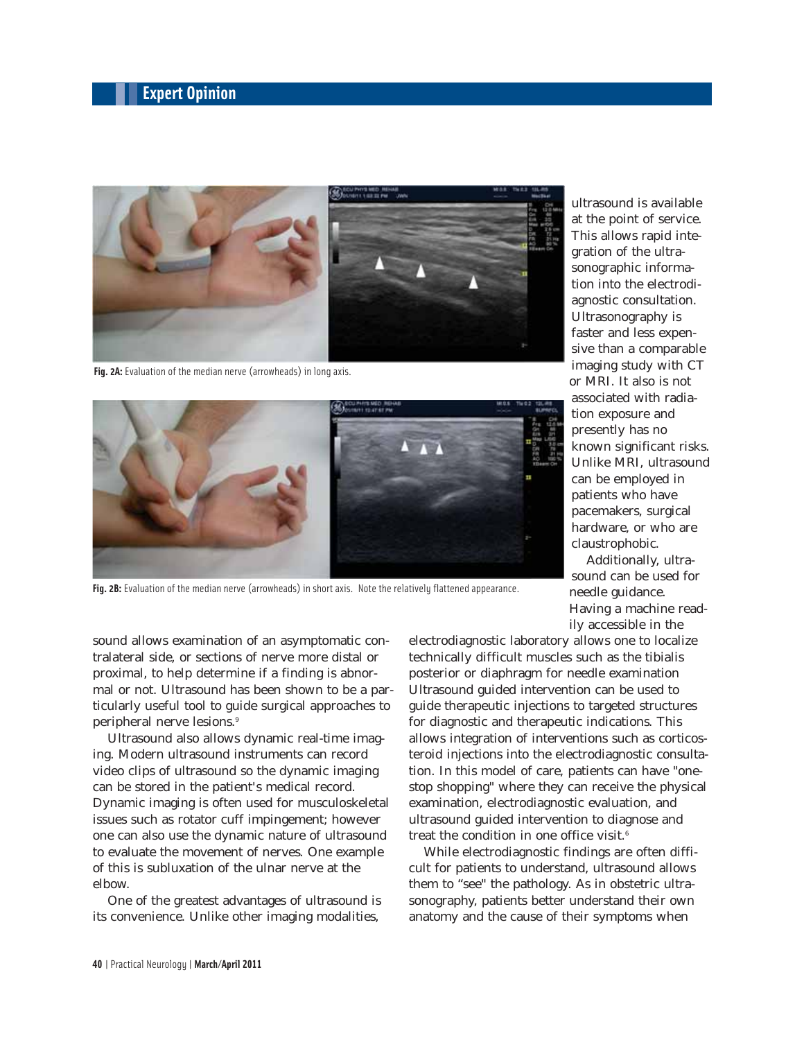

Fig. 2A: Evaluation of the median nerve (arrowheads) in long axis.



**Fig. 2B:** Evaluation of the median nerve (arrowheads) in short axis. Note the relatively flattened appearance.

sound allows examination of an asymptomatic contralateral side, or sections of nerve more distal or proximal, to help determine if a finding is abnormal or not. Ultrasound has been shown to be a particularly useful tool to guide surgical approaches to peripheral nerve lesions.9

Ultrasound also allows dynamic real-time imaging. Modern ultrasound instruments can record video clips of ultrasound so the dynamic imaging can be stored in the patient's medical record. Dynamic imaging is often used for musculoskeletal issues such as rotator cuff impingement; however one can also use the dynamic nature of ultrasound to evaluate the movement of nerves. One example of this is subluxation of the ulnar nerve at the elbow.

One of the greatest advantages of ultrasound is its convenience. Unlike other imaging modalities,

electrodiagnostic laboratory allows one to localize technically difficult muscles such as the tibialis posterior or diaphragm for needle examination Ultrasound guided intervention can be used to guide therapeutic injections to targeted structures for diagnostic and therapeutic indications. This allows integration of interventions such as corticosteroid injections into the electrodiagnostic consultation. In this model of care, patients can have "onestop shopping" where they can receive the physical examination, electrodiagnostic evaluation, and ultrasound guided intervention to diagnose and treat the condition in one office visit. $6$ 

While electrodiagnostic findings are often difficult for patients to understand, ultrasound allows them to "see" the pathology. As in obstetric ultrasonography, patients better understand their own anatomy and the cause of their symptoms when

ultrasound is available at the point of service. This allows rapid integration of the ultrasonographic information into the electrodiagnostic consultation. Ultrasonography is faster and less expensive than a comparable imaging study with CT or MRI. It also is not associated with radiation exposure and presently has no known significant risks. Unlike MRI, ultrasound can be employed in patients who have pacemakers, surgical hardware, or who are claustrophobic.

Additionally, ultrasound can be used for needle guidance. Having a machine readily accessible in the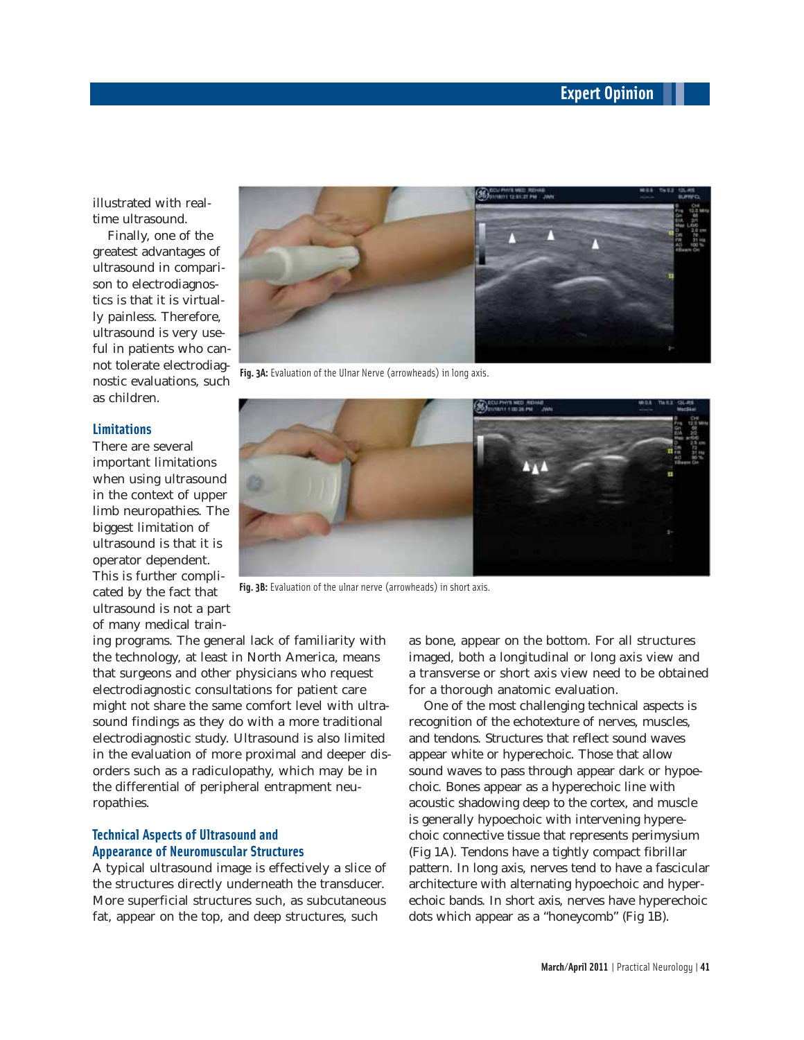illustrated with realtime ultrasound.

Finally, one of the greatest advantages of ultrasound in comparison to electrodiagnostics is that it is virtually painless. Therefore, ultrasound is very useful in patients who cannot tolerate electrodiagnostic evaluations, such as children.

#### **Limitations**

There are several important limitations when using ultrasound in the context of upper limb neuropathies. The biggest limitation of ultrasound is that it is operator dependent. This is further complicated by the fact that ultrasound is not a part of many medical train-



**Fig. 3A:** Evaluation of the Ulnar Nerve (arrowheads) in long axis.



Fig. 3B: Evaluation of the ulnar nerve (arrowheads) in short axis.

ing programs. The general lack of familiarity with the technology, at least in North America, means that surgeons and other physicians who request electrodiagnostic consultations for patient care might not share the same comfort level with ultrasound findings as they do with a more traditional electrodiagnostic study. Ultrasound is also limited in the evaluation of more proximal and deeper disorders such as a radiculopathy, which may be in the differential of peripheral entrapment neuropathies.

#### **Technical Aspects of Ultrasound and Appearance of Neuromuscular Structures**

A typical ultrasound image is effectively a slice of the structures directly underneath the transducer. More superficial structures such, as subcutaneous fat, appear on the top, and deep structures, such

as bone, appear on the bottom. For all structures imaged, both a longitudinal or long axis view and a transverse or short axis view need to be obtained for a thorough anatomic evaluation.

One of the most challenging technical aspects is recognition of the echotexture of nerves, muscles, and tendons. Structures that reflect sound waves appear white or hyperechoic. Those that allow sound waves to pass through appear dark or hypoechoic. Bones appear as a hyperechoic line with acoustic shadowing deep to the cortex, and muscle is generally hypoechoic with intervening hyperechoic connective tissue that represents perimysium (Fig 1A). Tendons have a tightly compact fibrillar pattern. In long axis, nerves tend to have a fascicular architecture with alternating hypoechoic and hyperechoic bands. In short axis, nerves have hyperechoic dots which appear as a "honeycomb" (Fig 1B).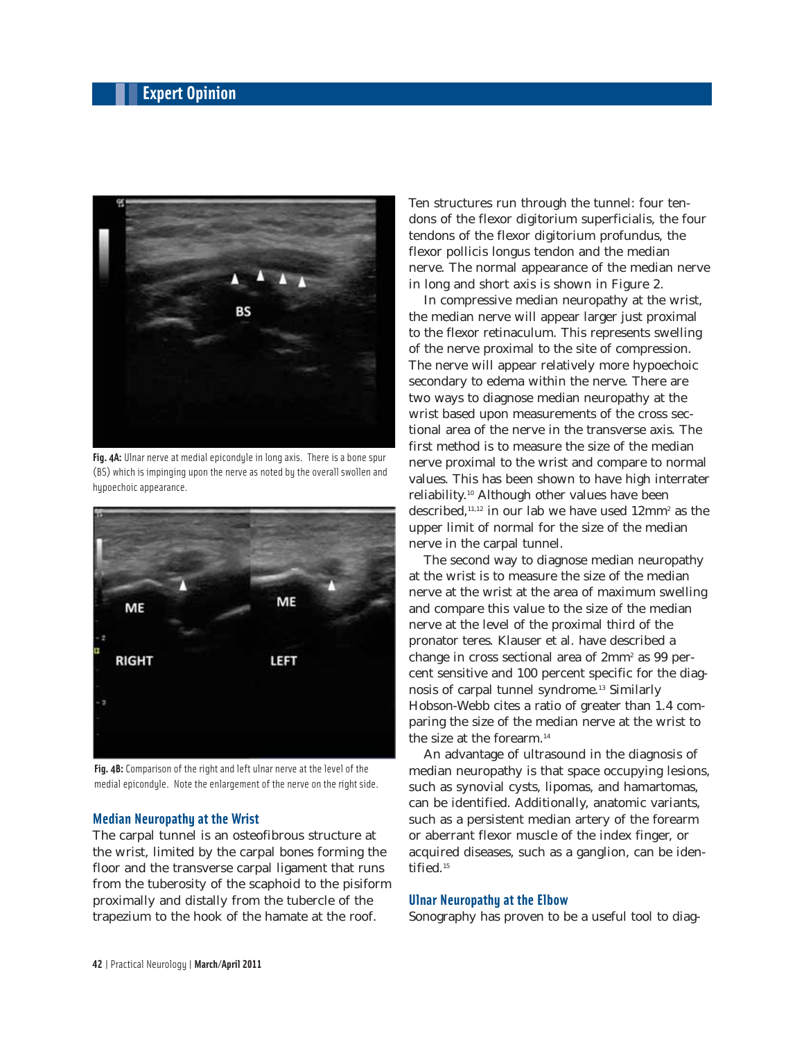

**Fig. 4A:** Ulnar nerve at medial epicondyle in long axis. There is a bone spur (BS) which is impinging upon the nerve as noted by the overall swollen and hypoechoic appearance.



**Fig. 4B:** Comparison of the right and left ulnar nerve at the level of the medial epicondyle. Note the enlargement of the nerve on the right side.

#### **Median Neuropathy at the Wrist**

The carpal tunnel is an osteofibrous structure at the wrist, limited by the carpal bones forming the floor and the transverse carpal ligament that runs from the tuberosity of the scaphoid to the pisiform proximally and distally from the tubercle of the trapezium to the hook of the hamate at the roof.

Ten structures run through the tunnel: four tendons of the flexor digitorium superficialis, the four tendons of the flexor digitorium profundus, the flexor pollicis longus tendon and the median nerve. The normal appearance of the median nerve in long and short axis is shown in Figure 2.

In compressive median neuropathy at the wrist, the median nerve will appear larger just proximal to the flexor retinaculum. This represents swelling of the nerve proximal to the site of compression. The nerve will appear relatively more hypoechoic secondary to edema within the nerve. There are two ways to diagnose median neuropathy at the wrist based upon measurements of the cross sectional area of the nerve in the transverse axis. The first method is to measure the size of the median nerve proximal to the wrist and compare to normal values. This has been shown to have high interrater reliability.10 Although other values have been described,<sup>11,12</sup> in our lab we have used 12mm<sup>2</sup> as the upper limit of normal for the size of the median nerve in the carpal tunnel.

The second way to diagnose median neuropathy at the wrist is to measure the size of the median nerve at the wrist at the area of maximum swelling and compare this value to the size of the median nerve at the level of the proximal third of the pronator teres. Klauser et al. have described a change in cross sectional area of 2mm<sup>2</sup> as 99 percent sensitive and 100 percent specific for the diagnosis of carpal tunnel syndrome.13 Similarly Hobson-Webb cites a ratio of greater than 1.4 comparing the size of the median nerve at the wrist to the size at the forearm.<sup>14</sup>

An advantage of ultrasound in the diagnosis of median neuropathy is that space occupying lesions, such as synovial cysts, lipomas, and hamartomas, can be identified. Additionally, anatomic variants, such as a persistent median artery of the forearm or aberrant flexor muscle of the index finger, or acquired diseases, such as a ganglion, can be identified.<sup>15</sup>

#### **Ulnar Neuropathy at the Elbow**

Sonography has proven to be a useful tool to diag-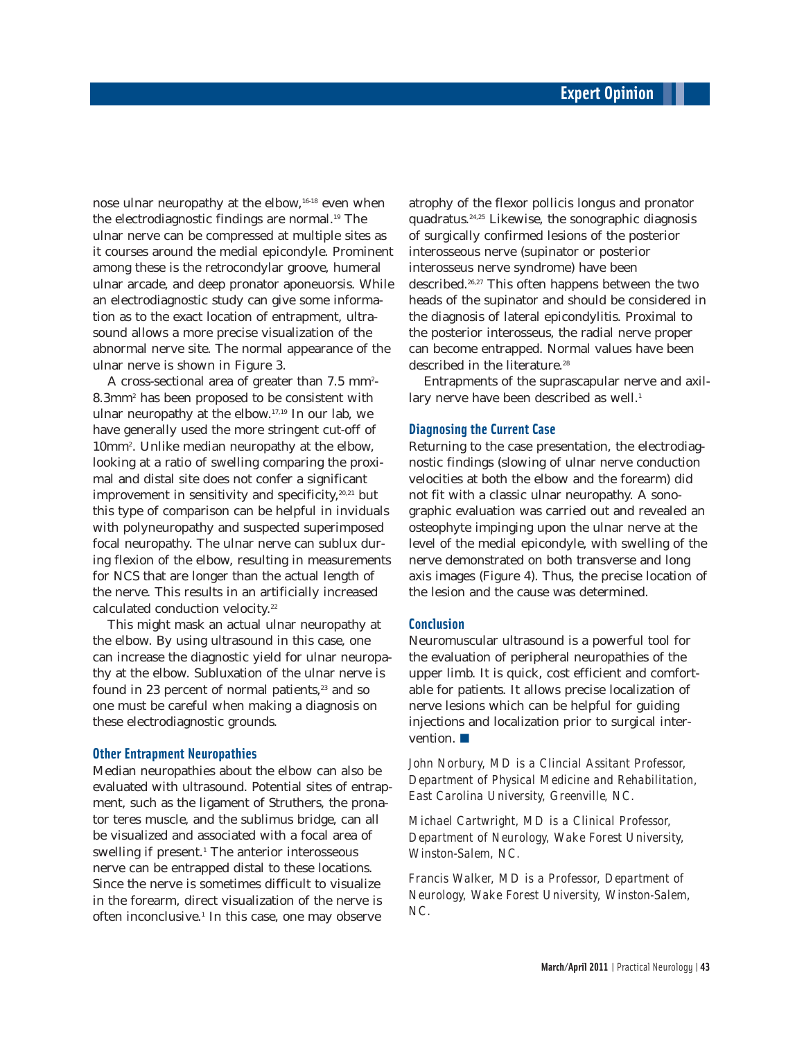nose ulnar neuropathy at the elbow,<sup>16-18</sup> even when the electrodiagnostic findings are normal.<sup>19</sup> The ulnar nerve can be compressed at multiple sites as it courses around the medial epicondyle. Prominent among these is the retrocondylar groove, humeral ulnar arcade, and deep pronator aponeuorsis. While an electrodiagnostic study can give some information as to the exact location of entrapment, ultrasound allows a more precise visualization of the abnormal nerve site. The normal appearance of the ulnar nerve is shown in Figure 3.

A cross-sectional area of greater than  $7.5\; \mathrm{mm}^2$ -8.3mm2 has been proposed to be consistent with ulnar neuropathy at the elbow.17,19 In our lab, we have generally used the more stringent cut-off of 10mm2 . Unlike median neuropathy at the elbow, looking at a ratio of swelling comparing the proximal and distal site does not confer a significant improvement in sensitivity and specificity, $20,21$  but this type of comparison can be helpful in inviduals with polyneuropathy and suspected superimposed focal neuropathy. The ulnar nerve can sublux during flexion of the elbow, resulting in measurements for NCS that are longer than the actual length of the nerve. This results in an artificially increased calculated conduction velocity.<sup>22</sup>

This might mask an actual ulnar neuropathy at the elbow. By using ultrasound in this case, one can increase the diagnostic yield for ulnar neuropathy at the elbow. Subluxation of the ulnar nerve is found in 23 percent of normal patients, $23$  and so one must be careful when making a diagnosis on these electrodiagnostic grounds.

#### **Other Entrapment Neuropathies**

Median neuropathies about the elbow can also be evaluated with ultrasound. Potential sites of entrapment, such as the ligament of Struthers, the pronator teres muscle, and the sublimus bridge, can all be visualized and associated with a focal area of swelling if present.<sup>1</sup> The anterior interosseous nerve can be entrapped distal to these locations. Since the nerve is sometimes difficult to visualize in the forearm, direct visualization of the nerve is often inconclusive.<sup>1</sup> In this case, one may observe

atrophy of the flexor pollicis longus and pronator quadratus.24,25 Likewise, the sonographic diagnosis of surgically confirmed lesions of the posterior interosseous nerve (supinator or posterior interosseus nerve syndrome) have been described.26,27 This often happens between the two heads of the supinator and should be considered in the diagnosis of lateral epicondylitis. Proximal to the posterior interosseus, the radial nerve proper can become entrapped. Normal values have been described in the literature<sup>28</sup>

Entrapments of the suprascapular nerve and axillary nerve have been described as well.<sup>1</sup>

#### **Diagnosing the Current Case**

Returning to the case presentation, the electrodiagnostic findings (slowing of ulnar nerve conduction velocities at both the elbow and the forearm) did not fit with a classic ulnar neuropathy. A sonographic evaluation was carried out and revealed an osteophyte impinging upon the ulnar nerve at the level of the medial epicondyle, with swelling of the nerve demonstrated on both transverse and long axis images (Figure 4). Thus, the precise location of the lesion and the cause was determined.

#### **Conclusion**

Neuromuscular ultrasound is a powerful tool for the evaluation of peripheral neuropathies of the upper limb. It is quick, cost efficient and comfortable for patients. It allows precise localization of nerve lesions which can be helpful for guiding injections and localization prior to surgical intervention. ■

*John Norbury, MD is a Clincial Assitant Professor, Department of Physical Medicine and Rehabilitation, East Carolina University, Greenville, NC.*

*Michael Cartwright, MD is a Clinical Professor, Department of Neurology, Wake Forest University, Winston-Salem, NC.*

*Francis Walker, MD is a Professor, Department of Neurology, Wake Forest University, Winston-Salem, NC.*